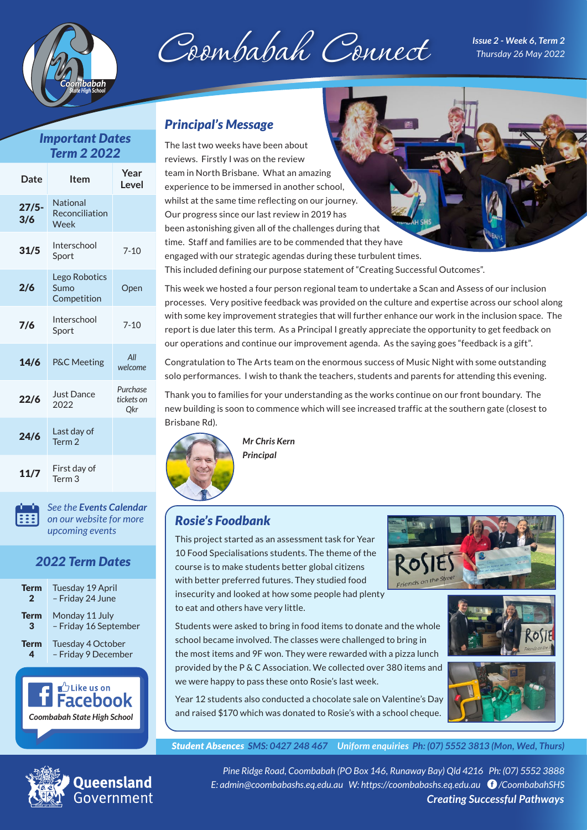



*Issue 2 - Week 6, Term 2 Thursday 26 May 2022*

## *Important Dates Term 2 2022*

| Date           | <b>Item</b>                               | Year<br>Level                        |
|----------------|-------------------------------------------|--------------------------------------|
| $27/5-$<br>3/6 | <b>National</b><br>Reconciliation<br>Week |                                      |
| 31/5           | Interschool<br>Sport                      | $7 - 10$                             |
| 2/6            | Lego Robotics<br>Sumo<br>Competition      | Open                                 |
| 7/6            | Interschool<br>Sport                      | $7 - 10$                             |
| 14/6           | <b>P&amp;C Meeting</b>                    | All<br>welcome                       |
| 22/6           | <b>Just Dance</b><br>2022                 | <b>Purchase</b><br>tickets on<br>Qkr |
| 24/6           | Last day of<br>Term <sub>2</sub>          |                                      |
| 11/7           | First day of<br>Term <sub>3</sub>         |                                      |

*See the [Events Calendar](https://coombabashs.eq.edu.au/calendar-and-news/events-calendar) [on our website for more](https://coombabashs.eq.edu.au/calendar-and-news/events-calendar) upcoming events* 

# *2022 Term Dates*

| Term         | Tuesday 19 April      |  |
|--------------|-----------------------|--|
| $\mathbf{2}$ | - Friday 24 June      |  |
| <b>Term</b>  | Monday 11 July        |  |
| 3            | - Friday 16 September |  |
| <b>Term</b>  | Tuesday 4 October     |  |
| 4            | - Friday 9 December   |  |



## *Principal's Message*

The last two weeks have been about reviews. Firstly I was on the review team in North Brisbane. What an amazing experience to be immersed in another school, whilst at the same time reflecting on our journey. Our progress since our last review in 2019 has been astonishing given all of the challenges during that time. Staff and families are to be commended that they have engaged with our strategic agendas during these turbulent times. This included defining our purpose statement of "Creating Successful Outcomes".

This week we hosted a four person regional team to undertake a Scan and Assess of our inclusion processes. Very positive feedback was provided on the culture and expertise across our school along with some key improvement strategies that will further enhance our work in the inclusion space. The report is due later this term. As a Principal I greatly appreciate the opportunity to get feedback on our operations and continue our improvement agenda. As the saying goes "feedback is a gift".

Congratulation to The Arts team on the enormous success of Music Night with some outstanding solo performances. I wish to thank the teachers, students and parents for attending this evening.

Thank you to families for your understanding as the works continue on our front boundary. The new building is soon to commence which will see increased traffic at the southern gate (closest to Brisbane Rd).



*Mr Chris Kern Principal*

#### *Rosie's Foodbank*

This project started as an assessment task for Year 10 Food Specialisations students. The theme of the course is to make students better global citizens with better preferred futures. They studied food insecurity and looked at how some people had plenty to eat and others have very little.



Students were asked to bring in food items to donate and the whole school became involved. The classes were challenged to bring in the most items and 9F won. They were rewarded with a pizza lunch provided by the P & C Association. We collected over 380 items and we were happy to pass these onto Rosie's last week.



Year 12 students also conducted a chocolate sale on Valentine's Day and raised \$170 which was donated to Rosie's with a school cheque.

*Student Absences SMS: 0427 248 467 Uniform enquiries Ph: (07) 5552 3813 (Mon, Wed, Thurs)*



**Queensland** overnment

*Pine Ridge Road, Coombabah (PO Box 146, Runaway Bay) Qld 4216 Ph: (07) 5552 3888 E: admin@coombabashs.eq.edu.au W: https://coombabashs.eq.edu.au [/CoombabahSHS](https://www.facebook.com/CoombabahSHS) Creating Successful Pathways*